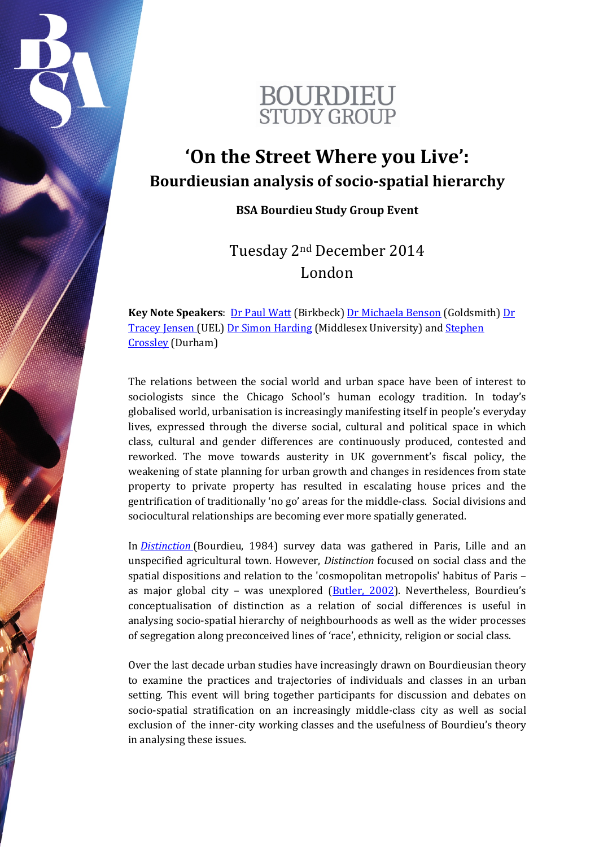

## **'On the Street Where you Live': Bourdieusian analysis of socio-spatial hierarchy**

**BSA Bourdieu Study Group Event**

Tuesday 2nd December 2014 London

**Key Note Speakers:** [Dr Paul Watt](http://www.bbk.ac.uk/geds/our-staff/full-time-academic-staff/watt) (Birkbeck) [Dr Michaela Benson](http://www.gold.ac.uk/sociology/staff/academicstaff/bensonmichaela/) (Goldsmith) Dr [Tracey Jensen](http://www.uel.ac.uk/lss/staff/jensentracey/) (UEL) [Dr Simon Harding](http://www.mdx.ac.uk/about-us/our-people/staff-directory/harding-simon) (Middlesex University) and [Stephen](https://www.dur.ac.uk/research/directory/staff/?mode=staff&id=9446)  [Crossley](https://www.dur.ac.uk/research/directory/staff/?mode=staff&id=9446) (Durham)

The relations between the social world and urban space have been of interest to sociologists since the Chicago School's human ecology tradition. In today's globalised world, urbanisation is increasingly manifesting itself in people's everyday lives, expressed through the diverse social, cultural and political space in which class, cultural and gender differences are continuously produced, contested and reworked. The move towards austerity in UK government's fiscal policy, the weakening of state planning for urban growth and changes in residences from state property to private property has resulted in escalating house prices and the gentrification of traditionally 'no go' areas for the middle-class. Social divisions and sociocultural relationships are becoming ever more spatially generated.

In *[Distinction](http://www.amazon.com/Distinction-Social-Critique-Judgement-Taste/dp/0674212770)* (Bourdieu, 1984) survey data was gathered in Paris, Lille and an unspecified agricultural town. However, *Distinction* focused on social class and the spatial dispositions and relation to the 'cosmopolitan metropolis' habitus of Paris – as major global city – was unexplored [\(Butler, 2002\)](http://www.socresonline.org.uk/7/3/butler.html). Nevertheless, Bourdieu's conceptualisation of distinction as a relation of social differences is useful in analysing socio-spatial hierarchy of neighbourhoods as well as the wider processes of segregation along preconceived lines of 'race', ethnicity, religion or social class.

Over the last decade urban studies have increasingly drawn on Bourdieusian theory to examine the practices and trajectories of individuals and classes in an urban setting. This event will bring together participants for discussion and debates on socio-spatial stratification on an increasingly middle-class city as well as social exclusion of the inner-city working classes and the usefulness of Bourdieu's theory in analysing these issues.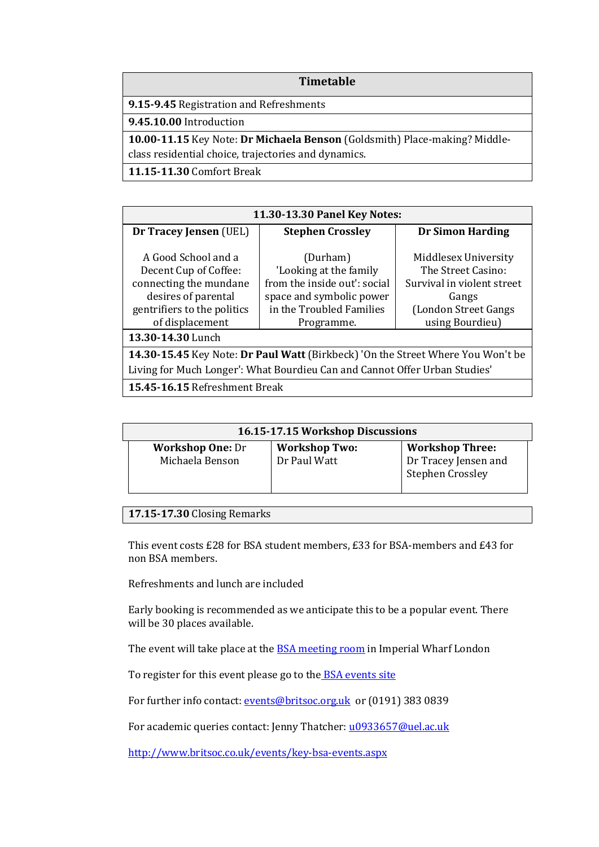## **Timetable**

**9.15-9.45** Registration and Refreshments

**9.45.10.00** Introduction

**10.00-11.15** Key Note: **Dr Michaela Benson** (Goldsmith) Place-making? Middleclass residential choice, trajectories and dynamics.

**11.15-11.30** Comfort Break

| 11.30-13.30 Panel Key Notes:                                                                                                                    |                                                                                                                                          |                                                                                                                              |  |  |
|-------------------------------------------------------------------------------------------------------------------------------------------------|------------------------------------------------------------------------------------------------------------------------------------------|------------------------------------------------------------------------------------------------------------------------------|--|--|
| Dr Tracey Jensen (UEL)                                                                                                                          | <b>Stephen Crossley</b>                                                                                                                  | <b>Dr Simon Harding</b>                                                                                                      |  |  |
| A Good School and a<br>Decent Cup of Coffee:<br>connecting the mundane<br>desires of parental<br>gentrifiers to the politics<br>of displacement | (Durham)<br>'Looking at the family<br>from the inside out': social<br>space and symbolic power<br>in the Troubled Families<br>Programme. | Middlesex University<br>The Street Casino:<br>Survival in violent street<br>Gangs<br>(London Street Gangs<br>using Bourdieu) |  |  |
| 13.30-14.30 Lunch                                                                                                                               |                                                                                                                                          |                                                                                                                              |  |  |
| 14.30-15.45 Key Note: Dr Paul Watt (Birkbeck) 'On the Street Where You Won't be                                                                 |                                                                                                                                          |                                                                                                                              |  |  |
| Living for Much Longer': What Bourdieu Can and Cannot Offer Urban Studies'                                                                      |                                                                                                                                          |                                                                                                                              |  |  |
| 15.45-16.15 Refreshment Break                                                                                                                   |                                                                                                                                          |                                                                                                                              |  |  |

| 16.15-17.15 Workshop Discussions           |                                      |                                                                           |  |
|--------------------------------------------|--------------------------------------|---------------------------------------------------------------------------|--|
| <b>Workshop One: Dr</b><br>Michaela Benson | <b>Workshop Two:</b><br>Dr Paul Watt | <b>Workshop Three:</b><br>Dr Tracey Jensen and<br><b>Stephen Crossley</b> |  |

## **17.15-17.30** Closing Remarks

This event costs £28 for BSA student members, £33 for BSA-members and £43 for non BSA members.

Refreshments and lunch are included

Early booking is recommended as we anticipate this to be a popular event. There will be 30 places available.

The event will take place at the **BSA meeting room** in Imperial Wharf London

To register for this event please go to the **BSA** events site

For further info contact: **events@britsoc.org.uk** or (0191) 383 0839

For academic queries contact: Jenny Thatcher: [u0933657@uel.ac.uk](mailto:u0933657@uel.ac.uk)

<http://www.britsoc.co.uk/events/key-bsa-events.aspx>